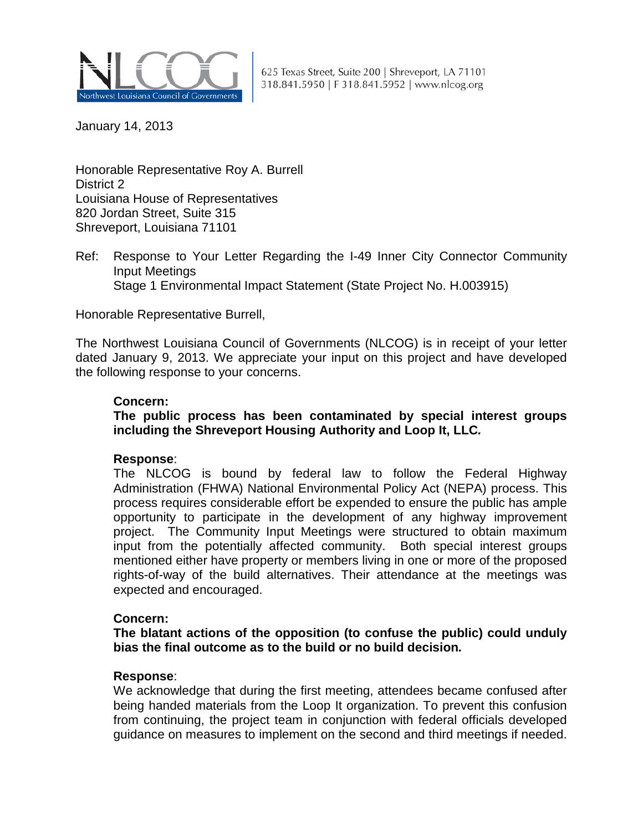

625 Texas Street, Suite 200 | Shreveport, LA 71101 318.841.5950 | F 318.841.5952 | www.nlcog.org

January 14, 2013

Honorable Representative Roy A. Burrell District 2 Louisiana House of Representatives 820 Jordan Street, Suite 315 Shreveport, Louisiana 71101

Ref: Response to Your Letter Regarding the I-49 Inner City Connector Community Input Meetings Stage 1 Environmental Impact Statement (State Project No. H.003915)

Honorable Representative Burrell,

The Northwest Louisiana Council of Governments (NLCOG) is in receipt of your letter dated January 9, 2013. We appreciate your input on this project and have developed the following response to your concerns.

## **Concern:**

**The public process has been contaminated by special interest groups including the Shreveport Housing Authority and Loop It, LLC***.* 

### **Response**:

The NLCOG is bound by federal law to follow the Federal Highway Administration (FHWA) National Environmental Policy Act (NEPA) process. This process requires considerable effort be expended to ensure the public has ample opportunity to participate in the development of any highway improvement project. The Community Input Meetings were structured to obtain maximum input from the potentially affected community. Both special interest groups mentioned either have property or members living in one or more of the proposed rights-of-way of the build alternatives. Their attendance at the meetings was expected and encouraged.

### **Concern:**

**The blatant actions of the opposition (to confuse the public) could unduly bias the final outcome as to the build or no build decision***.*

### **Response**:

We acknowledge that during the first meeting, attendees became confused after being handed materials from the Loop It organization. To prevent this confusion from continuing, the project team in conjunction with federal officials developed guidance on measures to implement on the second and third meetings if needed.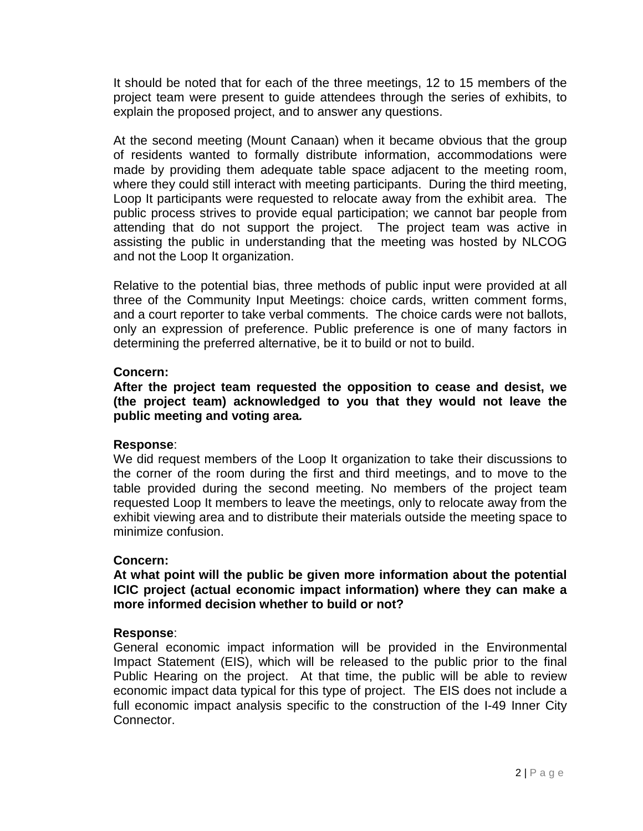It should be noted that for each of the three meetings, 12 to 15 members of the project team were present to guide attendees through the series of exhibits, to explain the proposed project, and to answer any questions.

At the second meeting (Mount Canaan) when it became obvious that the group of residents wanted to formally distribute information, accommodations were made by providing them adequate table space adjacent to the meeting room, where they could still interact with meeting participants. During the third meeting, Loop It participants were requested to relocate away from the exhibit area. The public process strives to provide equal participation; we cannot bar people from attending that do not support the project. The project team was active in assisting the public in understanding that the meeting was hosted by NLCOG and not the Loop It organization.

Relative to the potential bias, three methods of public input were provided at all three of the Community Input Meetings: choice cards, written comment forms, and a court reporter to take verbal comments. The choice cards were not ballots, only an expression of preference. Public preference is one of many factors in determining the preferred alternative, be it to build or not to build.

### **Concern:**

**After the project team requested the opposition to cease and desist, we (the project team) acknowledged to you that they would not leave the public meeting and voting area***.*

# **Response**:

We did request members of the Loop It organization to take their discussions to the corner of the room during the first and third meetings, and to move to the table provided during the second meeting. No members of the project team requested Loop It members to leave the meetings, only to relocate away from the exhibit viewing area and to distribute their materials outside the meeting space to minimize confusion.

### **Concern:**

**At what point will the public be given more information about the potential ICIC project (actual economic impact information) where they can make a more informed decision whether to build or not?** 

### **Response**:

General economic impact information will be provided in the Environmental Impact Statement (EIS), which will be released to the public prior to the final Public Hearing on the project. At that time, the public will be able to review economic impact data typical for this type of project. The EIS does not include a full economic impact analysis specific to the construction of the I-49 Inner City Connector.